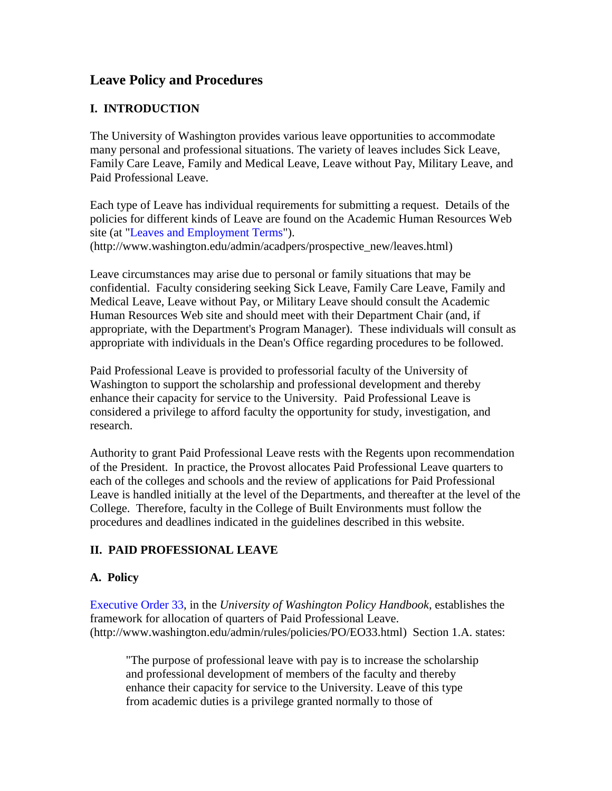# **Leave Policy and Procedures**

# **I. INTRODUCTION**

The University of Washington provides various leave opportunities to accommodate many personal and professional situations. The variety of leaves includes Sick Leave, Family Care Leave, Family and Medical Leave, Leave without Pay, Military Leave, and Paid Professional Leave.

Each type of Leave has individual requirements for submitting a request. Details of the policies for different kinds of Leave are found on the Academic Human Resources Web site (at ["Leaves and Employment Terms"](http://www.washington.edu/admin/acadpers/prospective_new/leaves.html)). (http://www.washington.edu/admin/acadpers/prospective\_new/leaves.html)

Leave circumstances may arise due to personal or family situations that may be confidential. Faculty considering seeking Sick Leave, Family Care Leave, Family and Medical Leave, Leave without Pay, or Military Leave should consult the Academic Human Resources Web site and should meet with their Department Chair (and, if appropriate, with the Department's Program Manager). These individuals will consult as appropriate with individuals in the Dean's Office regarding procedures to be followed.

Paid Professional Leave is provided to professorial faculty of the University of Washington to support the scholarship and professional development and thereby enhance their capacity for service to the University. Paid Professional Leave is considered a privilege to afford faculty the opportunity for study, investigation, and research.

Authority to grant Paid Professional Leave rests with the Regents upon recommendation of the President. In practice, the Provost allocates Paid Professional Leave quarters to each of the colleges and schools and the review of applications for Paid Professional Leave is handled initially at the level of the Departments, and thereafter at the level of the College. Therefore, faculty in the College of Built Environments must follow the procedures and deadlines indicated in the guidelines described in this website.

# **II. PAID PROFESSIONAL LEAVE**

#### **A. Policy**

[Executive Order 33,](http://www.washington.edu/admin/rules/policies/PO/EO33.html) in the *University of Washington Policy Handbook*, establishes the framework for allocation of quarters of Paid Professional Leave. (http://www.washington.edu/admin/rules/policies/PO/EO33.html) Section 1.A. states:

"The purpose of professional leave with pay is to increase the scholarship and professional development of members of the faculty and thereby enhance their capacity for service to the University. Leave of this type from academic duties is a privilege granted normally to those of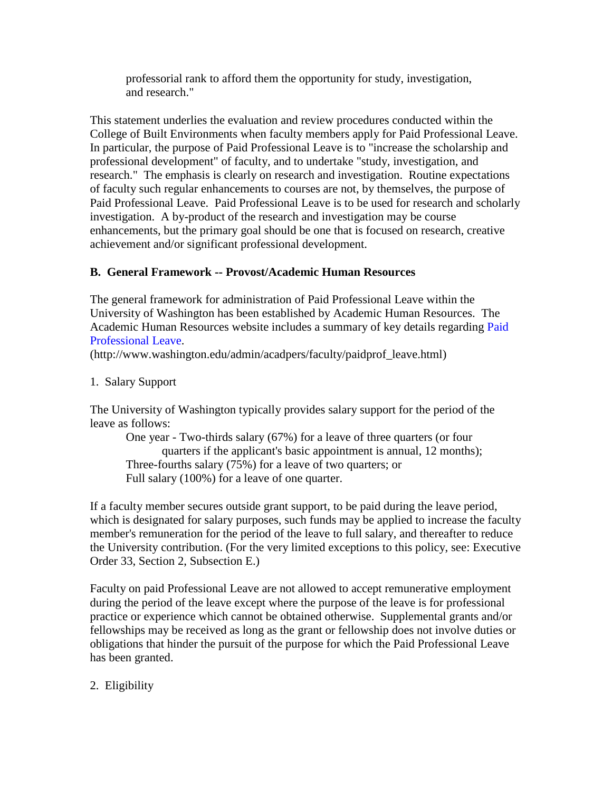professorial rank to afford them the opportunity for study, investigation, and research."

This statement underlies the evaluation and review procedures conducted within the College of Built Environments when faculty members apply for Paid Professional Leave. In particular, the purpose of Paid Professional Leave is to "increase the scholarship and professional development" of faculty, and to undertake "study, investigation, and research." The emphasis is clearly on research and investigation. Routine expectations of faculty such regular enhancements to courses are not, by themselves, the purpose of Paid Professional Leave. Paid Professional Leave is to be used for research and scholarly investigation. A by-product of the research and investigation may be course enhancements, but the primary goal should be one that is focused on research, creative achievement and/or significant professional development.

# **B. General Framework -- Provost/Academic Human Resources**

The general framework for administration of Paid Professional Leave within the University of Washington has been established by Academic Human Resources. The Academic Human Resources website includes a summary of key details regarding [Paid](http://www.washington.edu/admin/acadpers/faculty/paidprof_leave.html)  [Professional Leave.](http://www.washington.edu/admin/acadpers/faculty/paidprof_leave.html)

(http://www.washington.edu/admin/acadpers/faculty/paidprof\_leave.html)

#### 1. Salary Support

The University of Washington typically provides salary support for the period of the leave as follows:

One year - Two-thirds salary (67%) for a leave of three quarters (or four quarters if the applicant's basic appointment is annual, 12 months); Three-fourths salary (75%) for a leave of two quarters; or Full salary (100%) for a leave of one quarter.

If a faculty member secures outside grant support, to be paid during the leave period, which is designated for salary purposes, such funds may be applied to increase the faculty member's remuneration for the period of the leave to full salary, and thereafter to reduce the University contribution. (For the very limited exceptions to this policy, see: Executive Order 33, Section 2, Subsection E.)

Faculty on paid Professional Leave are not allowed to accept remunerative employment during the period of the leave except where the purpose of the leave is for professional practice or experience which cannot be obtained otherwise. Supplemental grants and/or fellowships may be received as long as the grant or fellowship does not involve duties or obligations that hinder the pursuit of the purpose for which the Paid Professional Leave has been granted.

2. Eligibility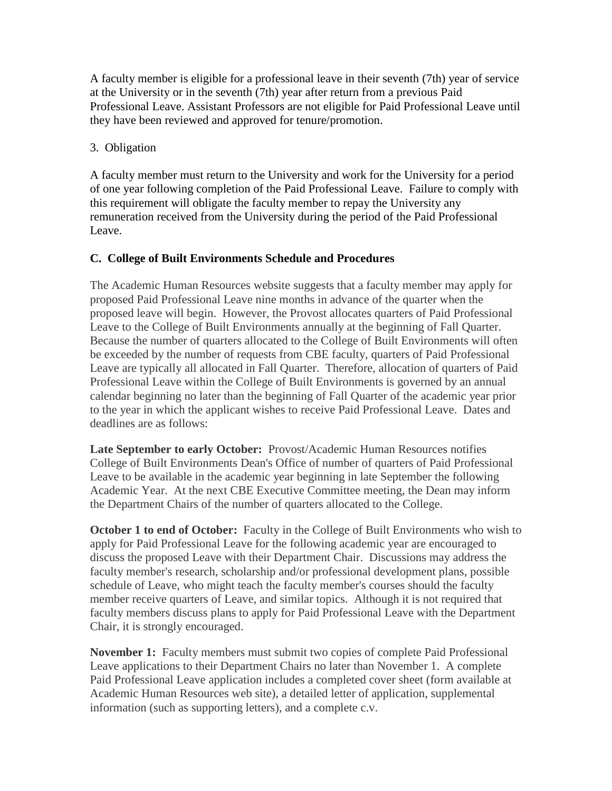A faculty member is eligible for a professional leave in their seventh (7th) year of service at the University or in the seventh (7th) year after return from a previous Paid Professional Leave. Assistant Professors are not eligible for Paid Professional Leave until they have been reviewed and approved for tenure/promotion.

#### 3. Obligation

A faculty member must return to the University and work for the University for a period of one year following completion of the Paid Professional Leave. Failure to comply with this requirement will obligate the faculty member to repay the University any remuneration received from the University during the period of the Paid Professional Leave.

#### **C. College of Built Environments Schedule and Procedures**

The Academic Human Resources website suggests that a faculty member may apply for proposed Paid Professional Leave nine months in advance of the quarter when the proposed leave will begin. However, the Provost allocates quarters of Paid Professional Leave to the College of Built Environments annually at the beginning of Fall Quarter. Because the number of quarters allocated to the College of Built Environments will often be exceeded by the number of requests from CBE faculty, quarters of Paid Professional Leave are typically all allocated in Fall Quarter. Therefore, allocation of quarters of Paid Professional Leave within the College of Built Environments is governed by an annual calendar beginning no later than the beginning of Fall Quarter of the academic year prior to the year in which the applicant wishes to receive Paid Professional Leave. Dates and deadlines are as follows:

**Late September to early October:** Provost/Academic Human Resources notifies College of Built Environments Dean's Office of number of quarters of Paid Professional Leave to be available in the academic year beginning in late September the following Academic Year. At the next CBE Executive Committee meeting, the Dean may inform the Department Chairs of the number of quarters allocated to the College.

**October 1 to end of October:** Faculty in the College of Built Environments who wish to apply for Paid Professional Leave for the following academic year are encouraged to discuss the proposed Leave with their Department Chair. Discussions may address the faculty member's research, scholarship and/or professional development plans, possible schedule of Leave, who might teach the faculty member's courses should the faculty member receive quarters of Leave, and similar topics. Although it is not required that faculty members discuss plans to apply for Paid Professional Leave with the Department Chair, it is strongly encouraged.

**November 1:** Faculty members must submit two copies of complete Paid Professional Leave applications to their Department Chairs no later than November 1. A complete Paid Professional Leave application includes a completed cover sheet (form available at Academic Human Resources web site), a detailed letter of application, supplemental information (such as supporting letters), and a complete c.v.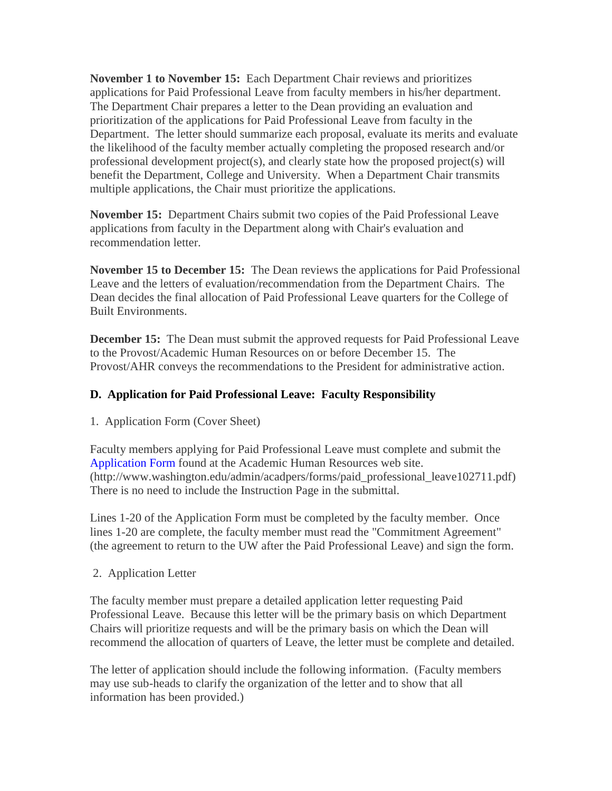**November 1 to November 15:** Each Department Chair reviews and prioritizes applications for Paid Professional Leave from faculty members in his/her department. The Department Chair prepares a letter to the Dean providing an evaluation and prioritization of the applications for Paid Professional Leave from faculty in the Department. The letter should summarize each proposal, evaluate its merits and evaluate the likelihood of the faculty member actually completing the proposed research and/or professional development project(s), and clearly state how the proposed project(s) will benefit the Department, College and University. When a Department Chair transmits multiple applications, the Chair must prioritize the applications.

**November 15:** Department Chairs submit two copies of the Paid Professional Leave applications from faculty in the Department along with Chair's evaluation and recommendation letter.

**November 15 to December 15:** The Dean reviews the applications for Paid Professional Leave and the letters of evaluation/recommendation from the Department Chairs. The Dean decides the final allocation of Paid Professional Leave quarters for the College of Built Environments.

**December 15:** The Dean must submit the approved requests for Paid Professional Leave to the Provost/Academic Human Resources on or before December 15. The Provost/AHR conveys the recommendations to the President for administrative action.

# **D. Application for Paid Professional Leave: Faculty Responsibility**

1. Application Form (Cover Sheet)

Faculty members applying for Paid Professional Leave must complete and submit the [Application Form](http://www.washington.edu/admin/acadpers/forms/paid_professional_leave102711.pdf) found at the Academic Human Resources web site. (http://www.washington.edu/admin/acadpers/forms/paid\_professional\_leave102711.pdf) There is no need to include the Instruction Page in the submittal.

Lines 1-20 of the Application Form must be completed by the faculty member. Once lines 1-20 are complete, the faculty member must read the "Commitment Agreement" (the agreement to return to the UW after the Paid Professional Leave) and sign the form.

2. Application Letter

The faculty member must prepare a detailed application letter requesting Paid Professional Leave. Because this letter will be the primary basis on which Department Chairs will prioritize requests and will be the primary basis on which the Dean will recommend the allocation of quarters of Leave, the letter must be complete and detailed.

The letter of application should include the following information. (Faculty members may use sub-heads to clarify the organization of the letter and to show that all information has been provided.)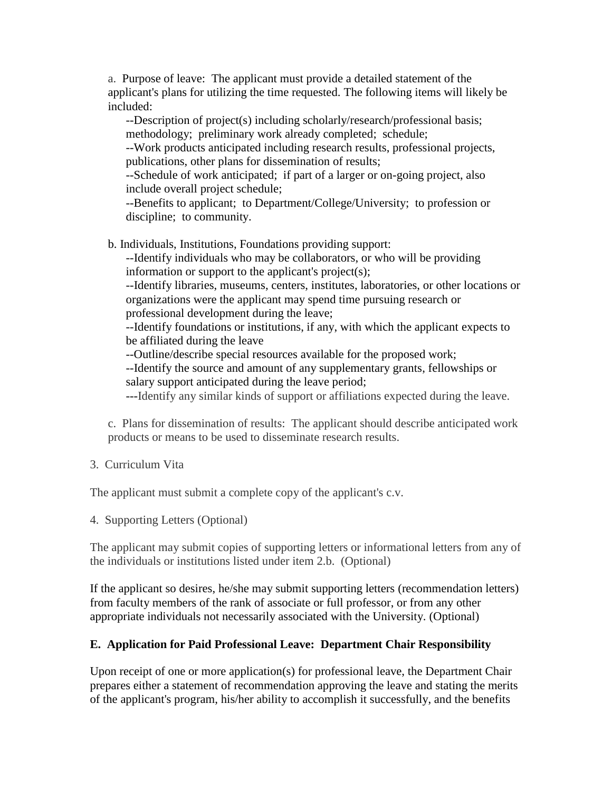a. Purpose of leave: The applicant must provide a detailed statement of the applicant's plans for utilizing the time requested. The following items will likely be included:

--Description of project(s) including scholarly/research/professional basis; methodology; preliminary work already completed; schedule;

--Work products anticipated including research results, professional projects, publications, other plans for dissemination of results;

--Schedule of work anticipated; if part of a larger or on-going project, also include overall project schedule;

--Benefits to applicant; to Department/College/University; to profession or discipline; to community.

b. Individuals, Institutions, Foundations providing support:

--Identify individuals who may be collaborators, or who will be providing information or support to the applicant's project(s);

--Identify libraries, museums, centers, institutes, laboratories, or other locations or organizations were the applicant may spend time pursuing research or professional development during the leave;

--Identify foundations or institutions, if any, with which the applicant expects to be affiliated during the leave

--Outline/describe special resources available for the proposed work;

--Identify the source and amount of any supplementary grants, fellowships or salary support anticipated during the leave period;

---Identify any similar kinds of support or affiliations expected during the leave.

c. Plans for dissemination of results: The applicant should describe anticipated work products or means to be used to disseminate research results.

3. Curriculum Vita

The applicant must submit a complete copy of the applicant's c.v.

4. Supporting Letters (Optional)

The applicant may submit copies of supporting letters or informational letters from any of the individuals or institutions listed under item 2.b. (Optional)

If the applicant so desires, he/she may submit supporting letters (recommendation letters) from faculty members of the rank of associate or full professor, or from any other appropriate individuals not necessarily associated with the University. (Optional)

#### **E. Application for Paid Professional Leave: Department Chair Responsibility**

Upon receipt of one or more application(s) for professional leave, the Department Chair prepares either a statement of recommendation approving the leave and stating the merits of the applicant's program, his/her ability to accomplish it successfully, and the benefits